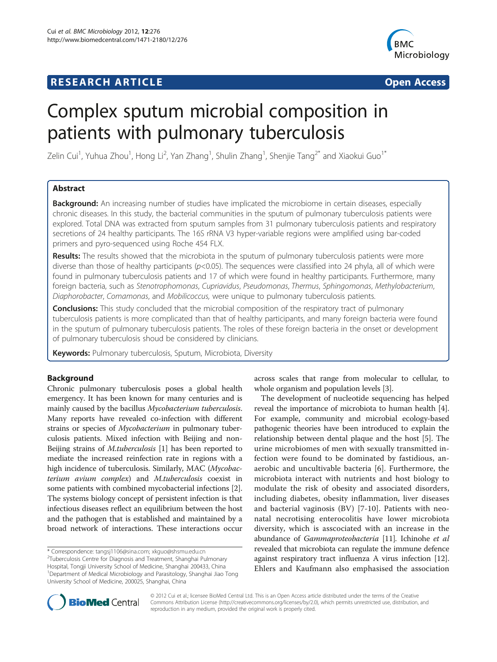# **RESEARCH ARTICLE Example 2014 CONSIDERING A RESEARCH ARTICLE**



# Complex sputum microbial composition in patients with pulmonary tuberculosis

Zelin Cui<sup>1</sup>, Yuhua Zhou<sup>1</sup>, Hong Li<sup>2</sup>, Yan Zhang<sup>1</sup>, Shulin Zhang<sup>1</sup>, Shenjie Tang<sup>2\*</sup> and Xiaokui Guo<sup>1\*</sup>

# Abstract

Background: An increasing number of studies have implicated the microbiome in certain diseases, especially chronic diseases. In this study, the bacterial communities in the sputum of pulmonary tuberculosis patients were explored. Total DNA was extracted from sputum samples from 31 pulmonary tuberculosis patients and respiratory secretions of 24 healthy participants. The 16S rRNA V3 hyper-variable regions were amplified using bar-coded primers and pyro-sequenced using Roche 454 FLX.

Results: The results showed that the microbiota in the sputum of pulmonary tuberculosis patients were more diverse than those of healthy participants (p<0.05). The sequences were classified into 24 phyla, all of which were found in pulmonary tuberculosis patients and 17 of which were found in healthy participants. Furthermore, many foreign bacteria, such as Stenotrophomonas, Cupriavidus, Pseudomonas, Thermus, Sphingomonas, Methylobacterium, Diaphorobacter, Comamonas, and Mobilicoccus, were unique to pulmonary tuberculosis patients.

**Conclusions:** This study concluded that the microbial composition of the respiratory tract of pulmonary tuberculosis patients is more complicated than that of healthy participants, and many foreign bacteria were found in the sputum of pulmonary tuberculosis patients. The roles of these foreign bacteria in the onset or development of pulmonary tuberculosis shoud be considered by clinicians.

**Keywords:** Pulmonary tuberculosis, Sputum, Microbiota, Diversity

# Background

Chronic pulmonary tuberculosis poses a global health emergency. It has been known for many centuries and is mainly caused by the bacillus Mycobacterium tuberculosis. Many reports have revealed co-infection with different strains or species of Mycobacterium in pulmonary tuberculosis patients. Mixed infection with Beijing and non-Beijing strains of M.tuberculosis [\[1](#page-7-0)] has been reported to mediate the increased reinfection rate in regions with a high incidence of tuberculosis. Similarly, MAC (Mycobacterium avium complex) and M.tuberculosis coexist in some patients with combined mycobacterial infections [[2](#page-7-0)]. The systems biology concept of persistent infection is that infectious diseases reflect an equilibrium between the host and the pathogen that is established and maintained by a broad network of interactions. These interactions occur

\* Correspondence: [tangsj1106@sina.com;](mailto:tangsj1106@sina.com) [xkguo@shsmu.edu.cn](mailto:xkguo@shsmu.edu.cn) <sup>2</sup> Tuberculosis Centre for Diagnosis and Treatment, Shanghai Pulmonary Hospital, Tongji University School of Medicine, Shanghai 200433, China <sup>1</sup>Department of Medical Microbiology and Parasitology, Shanghai Jiao Tong University School of Medicine, 200025, Shanghai, China

across scales that range from molecular to cellular, to whole organism and population levels [[3](#page-7-0)].

The development of nucleotide sequencing has helped reveal the importance of microbiota to human health [[4](#page-7-0)]. For example, community and microbial ecology-based pathogenic theories have been introduced to explain the relationship between dental plaque and the host [\[5\]](#page-7-0). The urine microbiomes of men with sexually transmitted infection were found to be dominated by fastidious, anaerobic and uncultivable bacteria [\[6](#page-7-0)]. Furthermore, the microbiota interact with nutrients and host biology to modulate the risk of obesity and associated disorders, including diabetes, obesity inflammation, liver diseases and bacterial vaginosis (BV) [[7](#page-7-0)-[10\]](#page-7-0). Patients with neonatal necrotising enterocolitis have lower microbiota diversity, which is asscociated with an increase in the abundance of Gammaproteobacteria [\[11](#page-7-0)]. Ichinohe et al revealed that microbiota can regulate the immune defence against respiratory tract influenza A virus infection [[12](#page-7-0)]. Ehlers and Kaufmann also emphasised the association



© 2012 Cui et al.; licensee BioMed Central Ltd. This is an Open Access article distributed under the terms of the Creative Commons Attribution License [\(http://creativecommons.org/licenses/by/2.0\)](http://creativecommons.org/licenses/by/2.0), which permits unrestricted use, distribution, and reproduction in any medium, provided the original work is properly cited.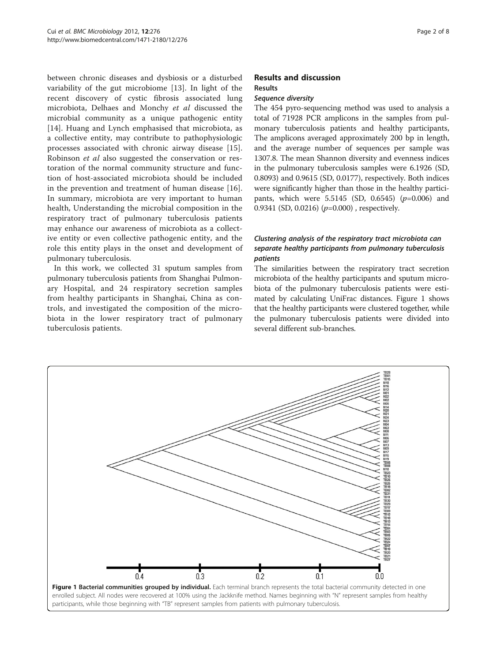<span id="page-1-0"></span>between chronic diseases and dysbiosis or a disturbed variability of the gut microbiome [\[13](#page-7-0)]. In light of the recent discovery of cystic fibrosis associated lung microbiota, Delhaes and Monchy et al discussed the microbial community as a unique pathogenic entity [[14\]](#page-7-0). Huang and Lynch emphasised that microbiota, as a collective entity, may contribute to pathophysiologic processes associated with chronic airway disease [\[15](#page-7-0)]. Robinson et al also suggested the conservation or restoration of the normal community structure and function of host-associated microbiota should be included in the prevention and treatment of human disease [\[16](#page-7-0)]. In summary, microbiota are very important to human health, Understanding the microbial composition in the respiratory tract of pulmonary tuberculosis patients may enhance our awareness of microbiota as a collective entity or even collective pathogenic entity, and the role this entity plays in the onset and development of pulmonary tuberculosis.

In this work, we collected 31 sputum samples from pulmonary tuberculosis patients from Shanghai Pulmonary Hospital, and 24 respiratory secretion samples from healthy participants in Shanghai, China as controls, and investigated the composition of the microbiota in the lower respiratory tract of pulmonary tuberculosis patients.

# Results and discussion Results

#### Sequence diversity

The 454 pyro-sequencing method was used to analysis a total of 71928 PCR amplicons in the samples from pulmonary tuberculosis patients and healthy participants, The amplicons averaged approximately 200 bp in length, and the average number of sequences per sample was 1307.8. The mean Shannon diversity and evenness indices in the pulmonary tuberculosis samples were 6.1926 (SD, 0.8093) and 0.9615 (SD, 0.0177), respectively. Both indices were significantly higher than those in the healthy participants, which were  $5.5145$  (SD, 0.6545) ( $p=0.006$ ) and 0.9341 (SD, 0.0216)  $(p=0.000)$ , respectively.

# Clustering analysis of the respiratory tract microbiota can separate healthy participants from pulmonary tuberculosis patients

The similarities between the respiratory tract secretion microbiota of the healthy participants and sputum microbiota of the pulmonary tuberculosis patients were estimated by calculating UniFrac distances. Figure 1 shows that the healthy participants were clustered together, while the pulmonary tuberculosis patients were divided into several different sub-branches.

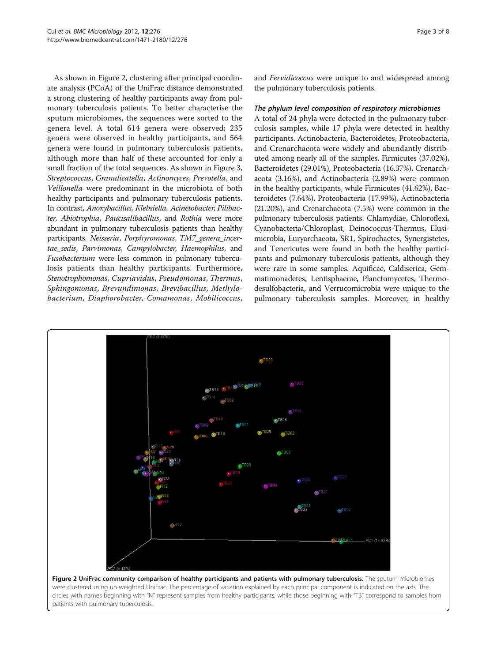<span id="page-2-0"></span>As shown in Figure 2, clustering after principal coordinate analysis (PCoA) of the UniFrac distance demonstrated a strong clustering of healthy participants away from pulmonary tuberculosis patients. To better characterise the sputum microbiomes, the sequences were sorted to the genera level. A total 614 genera were observed; 235 genera were observed in healthy participants, and 564 genera were found in pulmonary tuberculosis patients, although more than half of these accounted for only a small fraction of the total sequences. As shown in Figure [3](#page-3-0), Streptococcus, Granulicatella, Actinomyces, Prevotella, and Veillonella were predominant in the microbiota of both healthy participants and pulmonary tuberculosis patients. In contrast, Anoxybacillus, Klebsiella, Acinetobacter, Pilibacter, Abiotrophia, Paucisalibacillus, and Rothia were more abundant in pulmonary tuberculosis patients than healthy participants. Neisseria, Porphyromonas, TM7\_genera\_incertae\_sedis, Parvimonas, Campylobacter, Haemophilus, and Fusobacterium were less common in pulmonary tuberculosis patients than healthy participants. Furthermore, Stenotrophomonas, Cupriavidus, Pseudomonas, Thermus, Sphingomonas, Brevundimonas, Brevibacillus, Methylobacterium, Diaphorobacter, Comamonas, Mobilicoccus, and Fervidicoccus were unique to and widespread among the pulmonary tuberculosis patients.

#### The phylum level composition of respiratory microbiomes

A total of 24 phyla were detected in the pulmonary tuberculosis samples, while 17 phyla were detected in healthy participants. Actinobacteria, Bacteroidetes, Proteobacteria, and Crenarchaeota were widely and abundantly distributed among nearly all of the samples. Firmicutes (37.02%), Bacteroidetes (29.01%), Proteobacteria (16.37%), Crenarchaeota (3.16%), and Actinobacteria (2.89%) were common in the healthy participants, while Firmicutes (41.62%), Bacteroidetes (7.64%), Proteobacteria (17.99%), Actinobacteria (21.20%), and Crenarchaeota (7.5%) were common in the pulmonary tuberculosis patients. Chlamydiae, Chloroflexi, Cyanobacteria/Chloroplast, Deinococcus-Thermus, Elusimicrobia, Euryarchaeota, SR1, Spirochaetes, Synergistetes, and Tenericutes were found in both the healthy participants and pulmonary tuberculosis patients, although they were rare in some samples. Aquificae, Caldiserica, Gemmatimonadetes, Lentisphaerae, Planctomycetes, Thermodesulfobacteria, and Verrucomicrobia were unique to the pulmonary tuberculosis samples. Moreover, in healthy



Figure 2 UniFrac community comparison of healthy participants and patients with pulmonary tuberculosis. The sputum microbiomes were clustered using un-weighted UniFrac. The percentage of variation explained by each principal component is indicated on the axis. The circles with names beginning with "N" represent samples from healthy participants, while those beginning with "TB" correspond to samples from patients with pulmonary tuberculosis.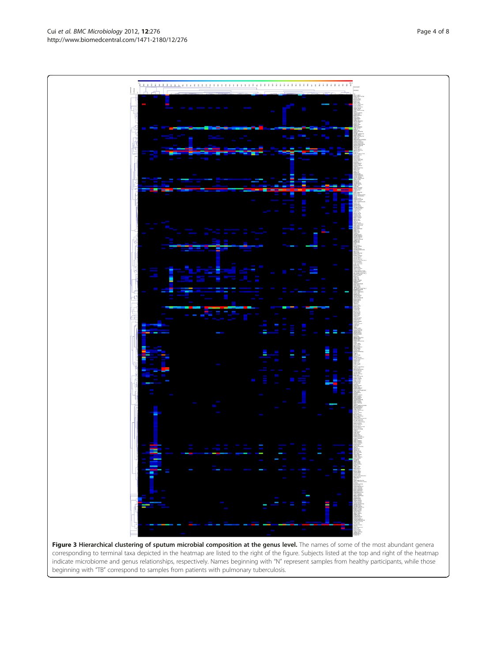Figure 3 Hierarchical clustering of sputum microbial composition at the genus level. The names of some of the most abundant genera corresponding to terminal taxa depicted in the heatmap are listed to the right of the figure. Subjects listed at the top and right of the heatmap indicate microbiome and genus relationships, respectively. Names beginning with "N" represent samples from healthy participants, while those beginning with "TB" correspond to samples from patients with pulmonary tuberculosis.

<span id="page-3-0"></span>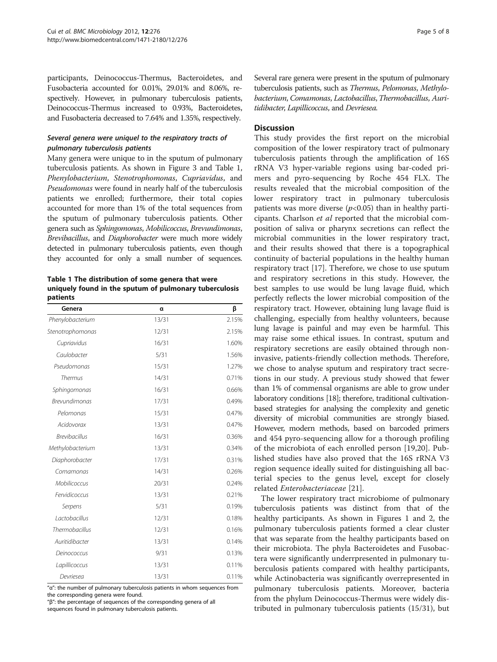<span id="page-4-0"></span>participants, Deinococcus-Thermus, Bacteroidetes, and Fusobacteria accounted for 0.01%, 29.01% and 8.06%, respectively. However, in pulmonary tuberculosis patients, Deinococcus-Thermus increased to 0.93%, Bacteroidetes, and Fusobacteria decreased to 7.64% and 1.35%, respectively.

# Several genera were uniquel to the respiratory tracts of pulmonary tuberculosis patients

Many genera were unique to in the sputum of pulmonary tuberculosis patients. As shown in Figure [3](#page-3-0) and Table 1, Phenylobacterium, Stenotrophomonas, Cupriavidus, and Pseudomonas were found in nearly half of the tuberculosis patients we enrolled; furthermore, their total copies accounted for more than 1% of the total sequences from the sputum of pulmonary tuberculosis patients. Other genera such as Sphingomonas, Mobilicoccus, Brevundimonas, Brevibacillus, and Diaphorobacter were much more widely detected in pulmonary tuberculosis patients, even though they accounted for only a small number of sequences.

Table 1 The distribution of some genera that were uniquely found in the sputum of pulmonary tuberculosis patients

| Genera               | α     | β     |
|----------------------|-------|-------|
| Phenylobacterium     | 13/31 | 2.15% |
| Stenotrophomonas     | 12/31 | 2.15% |
| Cupriavidus          | 16/31 | 1.60% |
| Caulobacter          | 5/31  | 1.56% |
| Pseudomonas          | 15/31 | 1.27% |
| Thermus              | 14/31 | 0.71% |
| Sphingomonas         | 16/31 | 0.66% |
| <b>Brevundimonas</b> | 17/31 | 0.49% |
| Pelomonas            | 15/31 | 0.47% |
| Acidovorax           | 13/31 | 0.47% |
| <b>Brevibacillus</b> | 16/31 | 0.36% |
| Methylobacterium     | 13/31 | 0.34% |
| Diaphorobacter       | 17/31 | 0.31% |
| Comamonas            | 14/31 | 0.26% |
| Mobilicoccus         | 20/31 | 0.24% |
| Fervidicoccus        | 13/31 | 0.21% |
| Serpens              | 5/31  | 0.19% |
| Lactobacillus        | 12/31 | 0.18% |
| Thermobacillus       | 12/31 | 0.16% |
| Auritidibacter       | 13/31 | 0.14% |
| Deinococcus          | 9/31  | 0.13% |
| Lapillicoccus        | 13/31 | 0.11% |
| Devriesea            | 13/31 | 0.11% |

"α": the number of pulmonary tuberculosis patients in whom sequences from the corresponding genera were found.

"β": the percentage of sequences of the corresponding genera of all

sequences found in pulmonary tuberculosis patients.

Several rare genera were present in the sputum of pulmonary tuberculosis patients, such as Thermus, Pelomonas, Methylobacterium, Comamonas, Lactobacillus,Thermobacillus, Auritidibacter, Lapillicoccus, and Devriesea.

## **Discussion**

This study provides the first report on the microbial composition of the lower respiratory tract of pulmonary tuberculosis patients through the amplification of 16S rRNA V3 hyper-variable regions using bar-coded primers and pyro-sequencing by Roche 454 FLX. The results revealed that the microbial composition of the lower respiratory tract in pulmonary tuberculosis patients was more diverse ( $p<0.05$ ) than in healthy participants. Charlson et al reported that the microbial composition of saliva or pharynx secretions can reflect the microbial communities in the lower respiratory tract, and their results showed that there is a topographical continuity of bacterial populations in the healthy human respiratory tract [[17](#page-7-0)]. Therefore, we chose to use sputum and respiratory secretions in this study. However, the best samples to use would be lung lavage fluid, which perfectly reflects the lower microbial composition of the respiratory tract. However, obtaining lung lavage fluid is challenging, especially from healthy volunteers, because lung lavage is painful and may even be harmful. This may raise some ethical issues. In contrast, sputum and respiratory secretions are easily obtained through noninvasive, patients-friendly collection methods. Therefore, we chose to analyse sputum and respiratory tract secretions in our study. A previous study showed that fewer than 1% of commensal organisms are able to grow under laboratory conditions [[18](#page-7-0)]; therefore, traditional cultivationbased strategies for analysing the complexity and genetic diversity of microbial communities are strongly biased. However, modern methods, based on barcoded primers and 454 pyro-sequencing allow for a thorough profiling of the microbiota of each enrolled person [[19,20\]](#page-7-0). Published studies have also proved that the 16S rRNA V3 region sequence ideally suited for distinguishing all bacterial species to the genus level, except for closely related Enterobacteriaceae [[21](#page-7-0)].

The lower respiratory tract microbiome of pulmonary tuberculosis patients was distinct from that of the healthy participants. As shown in Figures [1](#page-1-0) and [2](#page-2-0), the pulmonary tuberculosis patients formed a clear cluster that was separate from the healthy participants based on their microbiota. The phyla Bacteroidetes and Fusobactera were significantly underrpresented in pulmonary tuberculosis patients compared with healthy participants, while Actinobacteria was significantly overrepresented in pulmonary tuberculosis patients. Moreover, bacteria from the phylum Deinococcus-Thermus were widely distributed in pulmonary tuberculosis patients (15/31), but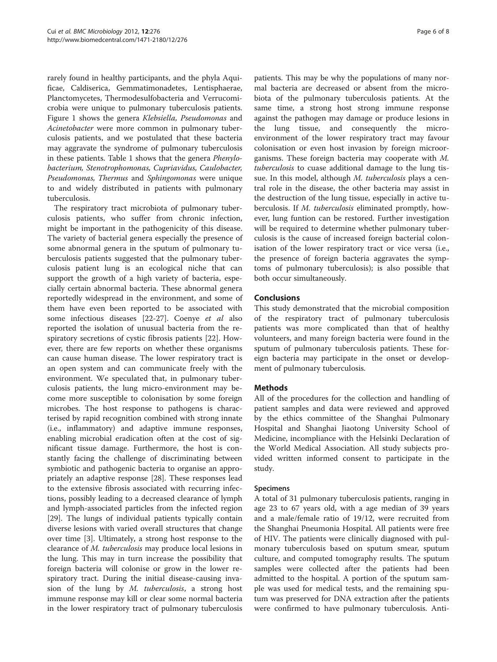rarely found in healthy participants, and the phyla Aquificae, Caldiserica, Gemmatimonadetes, Lentisphaerae, Planctomycetes, Thermodesulfobacteria and Verrucomicrobia were unique to pulmonary tuberculosis patients. Figure [1](#page-1-0) shows the genera Klebsiella, Pseudomonas and Acinetobacter were more common in pulmonary tuberculosis patients, and we postulated that these bacteria may aggravate the syndrome of pulmonary tuberculosis in these patients. Table [1](#page-4-0) shows that the genera Phenylobacterium, Stenotrophomonas, Cupriavidus, Caulobacter, Pseudomonas, Thermus and Sphingomonas were unique to and widely distributed in patients with pulmonary tuberculosis.

The respiratory tract microbiota of pulmonary tuberculosis patients, who suffer from chronic infection, might be important in the pathogenicity of this disease. The variety of bacterial genera especially the presence of some abnormal genera in the sputum of pulmonary tuberculosis patients suggested that the pulmonary tuberculosis patient lung is an ecological niche that can support the growth of a high variety of bacteria, especially certain abnormal bacteria. These abnormal genera reportedly widespread in the environment, and some of them have even been reported to be associated with some infectious diseases [[22](#page-7-0)-[27\]](#page-7-0). Coenye et al also reported the isolation of unusual bacteria from the respiratory secretions of cystic fibrosis patients [[22\]](#page-7-0). However, there are few reports on whether these organisms can cause human disease. The lower respiratory tract is an open system and can communicate freely with the environment. We speculated that, in pulmonary tuberculosis patients, the lung micro-environment may become more susceptible to colonisation by some foreign microbes. The host response to pathogens is characterised by rapid recognition combined with strong innate (i.e., inflammatory) and adaptive immune responses, enabling microbial eradication often at the cost of significant tissue damage. Furthermore, the host is constantly facing the challenge of discriminating between symbiotic and pathogenic bacteria to organise an appropriately an adaptive response [\[28\]](#page-7-0). These responses lead to the extensive fibrosis associated with recurring infections, possibly leading to a decreased clearance of lymph and lymph-associated particles from the infected region [[29\]](#page-7-0). The lungs of individual patients typically contain diverse lesions with varied overall structures that change over time [[3\]](#page-7-0). Ultimately, a strong host response to the clearance of M. tuberculosis may produce local lesions in the lung. This may in turn increase the possibility that foreign bacteria will colonise or grow in the lower respiratory tract. During the initial disease-causing invasion of the lung by *M. tuberculosis*, a strong host immune response may kill or clear some normal bacteria in the lower respiratory tract of pulmonary tuberculosis

patients. This may be why the populations of many normal bacteria are decreased or absent from the microbiota of the pulmonary tuberculosis patients. At the same time, a strong host strong immune response against the pathogen may damage or produce lesions in the lung tissue, and consequently the microenvironment of the lower respiratory tract may favour colonisation or even host invasion by foreign microorganisms. These foreign bacteria may cooperate with M. tuberculosis to cuase additional damage to the lung tissue. In this model, although M. tuberculosis plays a central role in the disease, the other bacteria may assist in the destruction of the lung tissue, especially in active tuberculosis. If M. tuberculosis eliminated promptly, however, lung funtion can be restored. Further investigation will be required to determine whether pulmonary tuberculosis is the cause of increased foreign bacterial colonisation of the lower respiratory tract or vice versa (i.e., the presence of foreign bacteria aggravates the symptoms of pulmonary tuberculosis); is also possible that both occur simultaneously.

## Conclusions

This study demonstrated that the microbial composition of the respiratory tract of pulmonary tuberculosis patients was more complicated than that of healthy volunteers, and many foreign bacteria were found in the sputum of pulmonary tuberculosis patients. These foreign bacteria may participate in the onset or development of pulmonary tuberculosis.

# **Methods**

All of the procedures for the collection and handling of patient samples and data were reviewed and approved by the ethics committee of the Shanghai Pulmonary Hospital and Shanghai Jiaotong University School of Medicine, incompliance with the Helsinki Declaration of the World Medical Association. All study subjects provided written informed consent to participate in the study.

## Specimens

A total of 31 pulmonary tuberculosis patients, ranging in age 23 to 67 years old, with a age median of 39 years and a male/female ratio of 19/12, were recruited from the Shanghai Pneumonia Hospital. All patients were free of HIV. The patients were clinically diagnosed with pulmonary tuberculosis based on sputum smear, sputum culture, and computed tomography results. The sputum samples were collected after the patients had been admitted to the hospital. A portion of the sputum sample was used for medical tests, and the remaining sputum was preserved for DNA extraction after the patients were confirmed to have pulmonary tuberculosis. Anti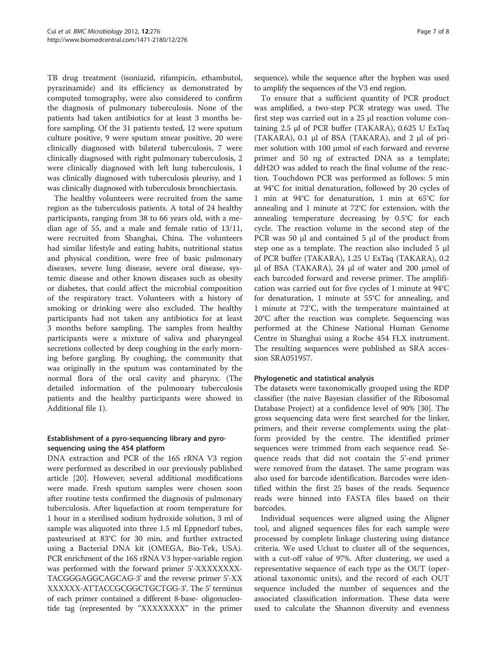TB drug treatment (isoniazid, rifampicin, ethambutol, pyrazinamide) and its efficiency as demonstrated by computed tomography, were also considered to confirm the diagnosis of pulmonary tuberculosis. None of the patients had taken antibiotics for at least 3 months before sampling. Of the 31 patients tested, 12 were sputum culture positive, 9 were sputum smear positive, 20 were clinically diagnosed with bilateral tuberculosis, 7 were clinically diagnosed with right pulmonary tuberculosis, 2 were clinically diagnosed with left lung tuberculosis, 1 was clinically diagnosed with tuberculosis pleurisy, and 1 was clinically diagnosed with tuberculosis bronchiectasis.

The healthy volunteers were recruited from the same region as the tuberculosis patients. A total of 24 healthy participants, ranging from 38 to 66 years old, with a median age of 55, and a male and female ratio of 13/11, were recruited from Shanghai, China. The volunteers had similar lifestyle and eating habits, nutritional status and physical condition, were free of basic pulmonary diseases, severe lung disease, severe oral disease, systemic disease and other known diseases such as obesity or diabetes, that could affect the microbial composition of the respiratory tract. Volunteers with a history of smoking or drinking were also excluded. The healthy participants had not taken any antibiotics for at least 3 months before sampling. The samples from healthy participants were a mixture of saliva and pharyngeal secretions collected by deep coughing in the early morning before gargling. By coughing, the community that was originally in the sputum was contaminated by the normal flora of the oral cavity and pharynx. (The detailed information of the pulmonary tuberculosis patients and the healthy participants were showed in Additional file [1\)](#page-7-0).

## Establishment of a pyro-sequencing library and pyrosequencing using the 454 platform

DNA extraction and PCR of the 16S rRNA V3 region were performed as described in our previously published article [[20\]](#page-7-0). However, several additional modifications were made. Fresh sputum samples were chosen soon after routine tests confirmed the diagnosis of pulmonary tuberculosis. After liquefaction at room temperature for 1 hour in a sterilised sodium hydroxide solution, 3 ml of sample was aliquoted into three 1.5 ml Eppnedorf tubes, pasteurised at 83°C for 30 min, and further extracted using a Bacterial DNA kit (OMEGA, Bio-Tek, USA). PCR enrichment of the 16S rRNA V3 hyper-variable region was performed with the forward primer 5'-XXXXXXXX-TACGGGAGGCAGCAG-3' and the reverse primer 5'-XX XXXXXX-ATTACCGCGGCTGCTGG-3'. The 5' terminus of each primer contained a different 8-base- oligonucleotide tag (represented by "XXXXXXXX" in the primer

sequence), while the sequence after the hyphen was used to amplify the sequences of the V3 end region.

To ensure that a sufficient quantity of PCR product was amplified, a two-step PCR strategy was used. The first step was carried out in a 25 μl reaction volume containing 2.5 μl of PCR buffer (TAKARA), 0.625 U ExTaq (TAKARA), 0.1 μl of BSA (TAKARA), and 2 μl of primer solution with 100 μmol of each forward and reverse primer and 50 ng of extracted DNA as a template; ddH2O was added to reach the final volume of the reaction. Touchdown PCR was performed as follows: 5 min at 94°C for initial denaturation, followed by 20 cycles of 1 min at 94°C for denaturation, 1 min at 65°C for annealing and 1 minute at 72°C for extension, with the annealing temperature decreasing by 0.5°C for each cycle. The reaction volume in the second step of the PCR was 50 μl and contained 5 μl of the product from step one as a template. The reaction also included 5 μl of PCR buffer (TAKARA), 1.25 U ExTaq (TAKARA), 0.2 μl of BSA (TAKARA), 24 μl of water and 200 μmol of each barcoded forward and reverse primer. The amplification was carried out for five cycles of 1 minute at 94°C for denaturation, 1 minute at 55°C for annealing, and 1 minute at 72°C, with the temperature maintained at 20°C after the reaction was complete. Sequencing was performed at the Chinese National Human Genome Centre in Shanghai using a Roche 454 FLX instrument. The resulting sequences were published as SRA accession SRA051957.

#### Phylogenetic and statistical analysis

The datasets were taxonomically grouped using the RDP classifier (the naive Bayesian classifier of the Ribosomal Database Project) at a confidence level of 90% [[30\]](#page-7-0). The gross sequencing data were first searched for the linker, primers, and their reverse complements using the platform provided by the centre. The identified primer sequences were trimmed from each sequence read. Sequence reads that did not contain the 5'-end primer were removed from the dataset. The same program was also used for barcode identification. Barcodes were identified within the first 25 bases of the reads. Sequence reads were binned into FASTA files based on their barcodes.

Individual sequences were aligned using the Aligner tool, and aligned sequences files for each sample were processed by complete linkage clustering using distance criteria. We used Uclust to cluster all of the sequences, with a cut-off value of 97%. After clustering, we used a representative sequence of each type as the OUT (operational taxonomic units), and the record of each OUT sequence included the number of sequences and the associated classification information. These data were used to calculate the Shannon diversity and evenness